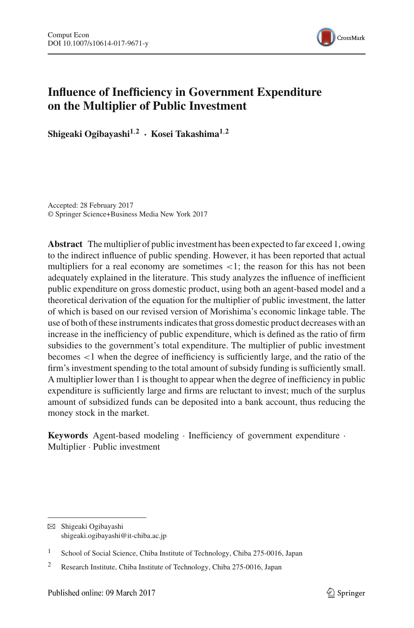

# **Influence of Inefficiency in Government Expenditure on the Multiplier of Public Investment**

**Shigeaki Ogibayashi1**,**<sup>2</sup> · Kosei Takashima1**,**<sup>2</sup>**

Accepted: 28 February 2017 © Springer Science+Business Media New York 2017

**Abstract** The multiplier of public investment has been expected to far exceed 1, owing to the indirect influence of public spending. However, it has been reported that actual multipliers for a real economy are sometimes <1; the reason for this has not been adequately explained in the literature. This study analyzes the influence of inefficient public expenditure on gross domestic product, using both an agent-based model and a theoretical derivation of the equation for the multiplier of public investment, the latter of which is based on our revised version of Morishima's economic linkage table. The use of both of these instruments indicates that gross domestic product decreases with an increase in the inefficiency of public expenditure, which is defined as the ratio of firm subsidies to the government's total expenditure. The multiplier of public investment becomes <1 when the degree of inefficiency is sufficiently large, and the ratio of the firm's investment spending to the total amount of subsidy funding is sufficiently small. A multiplier lower than 1 is thought to appear when the degree of inefficiency in public expenditure is sufficiently large and firms are reluctant to invest; much of the surplus amount of subsidized funds can be deposited into a bank account, thus reducing the money stock in the market.

**Keywords** Agent-based modeling · Inefficiency of government expenditure · Multiplier · Public investment

B Shigeaki Ogibayashi shigeaki.ogibayashi@it-chiba.ac.jp

<sup>&</sup>lt;sup>1</sup> School of Social Science, Chiba Institute of Technology, Chiba 275-0016, Japan

<sup>2</sup> Research Institute, Chiba Institute of Technology, Chiba 275-0016, Japan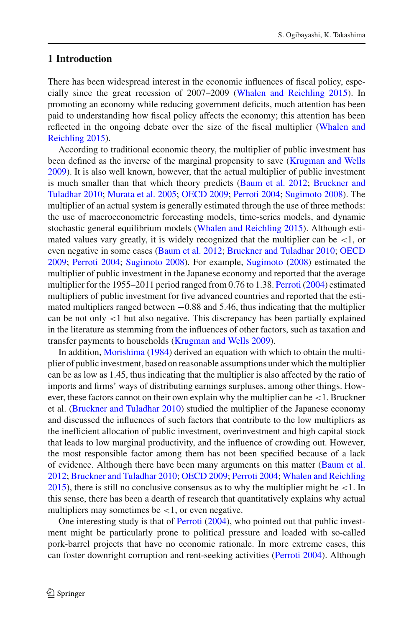# **1 Introduction**

There has been widespread interest in the economic influences of fiscal policy, especially since the great recession of 2007–2009 [\(Whalen and Reichling 2015](#page-28-0)). In promoting an economy while reducing government deficits, much attention has been paid to understanding how fiscal policy affects the economy; this attention has been reflected [in](#page-28-0) [the](#page-28-0) [ongoing](#page-28-0) [debate](#page-28-0) [over](#page-28-0) [the](#page-28-0) [size](#page-28-0) [of](#page-28-0) [the](#page-28-0) [fiscal](#page-28-0) [multiplier](#page-28-0) [\(](#page-28-0)Whalen and Reichling [2015\)](#page-28-0).

According to traditional economic theory, the multiplier of public investment has been defined as the inverse of the marginal propensity to save [\(Krugman and Wells](#page-27-0) [2009\)](#page-27-0). It is also well known, however, that the actual multiplier of public investment is much [smaller](#page-27-2) [than](#page-27-2) [that](#page-27-2) [which](#page-27-2) [theory](#page-27-2) [predicts](#page-27-2) [\(Baum et al. 2012](#page-27-1)[;](#page-27-2) Bruckner and Tuladhar [2010;](#page-27-2) [Murata et al. 2005](#page-27-3); [OECD 2009](#page-27-4); [Perroti 2004;](#page-27-5) [Sugimoto 2008](#page-27-6)). The multiplier of an actual system is generally estimated through the use of three methods: the use of macroeconometric forecasting models, time-series models, and dynamic stochastic general equilibrium models [\(Whalen and Reichling 2015\)](#page-28-0). Although estimated values vary greatly, it is widely recognized that the multiplier can be <1, or even negative in some cases [\(Baum et al. 2012;](#page-27-1) [Bruckner and Tuladhar 2010;](#page-27-2) [OECD](#page-27-4) [2009;](#page-27-4) [Perroti 2004](#page-27-5); [Sugimoto 2008\)](#page-27-6). For example, [Sugimoto](#page-27-6) [\(2008](#page-27-6)) estimated the multiplier of public investment in the Japanese economy and reported that the average multiplier for the 1955–2011 period ranged from 0.76 to 1.38. [Perroti](#page-27-5) [\(2004\)](#page-27-5) estimated multipliers of public investment for five advanced countries and reported that the estimated multipliers ranged between  $-0.88$  and 5.46, thus indicating that the multiplier can be not only <1 but also negative. This discrepancy has been partially explained in the literature as stemming from the influences of other factors, such as taxation and transfer payments to households [\(Krugman and Wells 2009](#page-27-0)).

In addition, [Morishima](#page-27-7) [\(1984](#page-27-7)) derived an equation with which to obtain the multiplier of public investment, based on reasonable assumptions under which the multiplier can be as low as 1.45, thus indicating that the multiplier is also affected by the ratio of imports and firms' ways of distributing earnings surpluses, among other things. However, these factors cannot on their own explain why the multiplier can be <1. Bruckner et al. [\(Bruckner and Tuladhar 2010](#page-27-2)) studied the multiplier of the Japanese economy and discussed the influences of such factors that contribute to the low multipliers as the inefficient allocation of public investment, overinvestment and high capital stock that leads to low marginal productivity, and the influence of crowding out. However, the most responsible factor among them has not been specified because of a lack of evidence. Although there have been many arguments on this matter [\(Baum et al.](#page-27-1) [2012;](#page-27-1) [Bruckner and Tuladhar 2010](#page-27-2); [OECD 2009;](#page-27-4) [Perroti 2004](#page-27-5); [Whalen and Reichling](#page-28-0)  $2015$ ), there is still no conclusive consensus as to why the multiplier might be  $\leq 1$ . In this sense, there has been a dearth of research that quantitatively explains why actual multipliers may sometimes be  $<$ 1, or even negative.

One interesting study is that of [Perroti](#page-27-5) [\(2004\)](#page-27-5), who pointed out that public investment might be particularly prone to political pressure and loaded with so-called pork-barrel projects that have no economic rationale. In more extreme cases, this can foster downright corruption and rent-seeking activities [\(Perroti 2004\)](#page-27-5). Although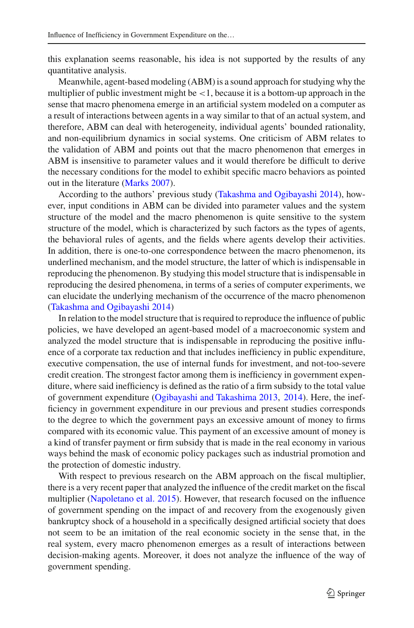this explanation seems reasonable, his idea is not supported by the results of any quantitative analysis.

Meanwhile, agent-based modeling (ABM) is a sound approach for studying why the multiplier of public investment might be  $\lt 1$ , because it is a bottom-up approach in the sense that macro phenomena emerge in an artificial system modeled on a computer as a result of interactions between agents in a way similar to that of an actual system, and therefore, ABM can deal with heterogeneity, individual agents' bounded rationality, and non-equilibrium dynamics in social systems. One criticism of ABM relates to the validation of ABM and points out that the macro phenomenon that emerges in ABM is insensitive to parameter values and it would therefore be difficult to derive the necessary conditions for the model to exhibit specific macro behaviors as pointed out in the literature [\(Marks 2007](#page-27-8)).

According to the authors' previous study [\(Takashma and Ogibayashi 2014](#page-27-9)), however, input conditions in ABM can be divided into parameter values and the system structure of the model and the macro phenomenon is quite sensitive to the system structure of the model, which is characterized by such factors as the types of agents, the behavioral rules of agents, and the fields where agents develop their activities. In addition, there is one-to-one correspondence between the macro phenomenon, its underlined mechanism, and the model structure, the latter of which is indispensable in reproducing the phenomenon. By studying this model structure that is indispensable in reproducing the desired phenomena, in terms of a series of computer experiments, we can elucidate the underlying mechanism of the occurrence of the macro phenomenon [\(Takashma and Ogibayashi 2014](#page-27-9))

In relation to the model structure that is required to reproduce the influence of public policies, we have developed an agent-based model of a macroeconomic system and analyzed the model structure that is indispensable in reproducing the positive influence of a corporate tax reduction and that includes inefficiency in public expenditure, executive compensation, the use of internal funds for investment, and not-too-severe credit creation. The strongest factor among them is inefficiency in government expenditure, where said inefficiency is defined as the ratio of a firm subsidy to the total value of government expenditure [\(Ogibayashi and Takashima 2013](#page-27-10), [2014](#page-27-11)). Here, the inefficiency in government expenditure in our previous and present studies corresponds to the degree to which the government pays an excessive amount of money to firms compared with its economic value. This payment of an excessive amount of money is a kind of transfer payment or firm subsidy that is made in the real economy in various ways behind the mask of economic policy packages such as industrial promotion and the protection of domestic industry.

With respect to previous research on the ABM approach on the fiscal multiplier, there is a very recent paper that analyzed the influence of the credit market on the fiscal multiplier [\(Napoletano et al. 2015](#page-27-12)). However, that research focused on the influence of government spending on the impact of and recovery from the exogenously given bankruptcy shock of a household in a specifically designed artificial society that does not seem to be an imitation of the real economic society in the sense that, in the real system, every macro phenomenon emerges as a result of interactions between decision-making agents. Moreover, it does not analyze the influence of the way of government spending.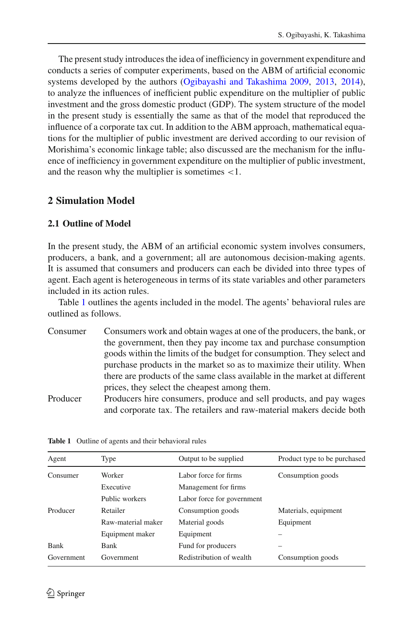The present study introduces the idea of inefficiency in government expenditure and conducts a series of computer experiments, based on the ABM of artificial economic systems developed by the authors [\(Ogibayashi and Takashima 2009,](#page-27-13) [2013](#page-27-10), [2014](#page-27-11)), to analyze the influences of inefficient public expenditure on the multiplier of public investment and the gross domestic product (GDP). The system structure of the model in the present study is essentially the same as that of the model that reproduced the influence of a corporate tax cut. In addition to the ABM approach, mathematical equations for the multiplier of public investment are derived according to our revision of Morishima's economic linkage table; also discussed are the mechanism for the influence of inefficiency in government expenditure on the multiplier of public investment, and the reason why the multiplier is sometimes <1.

# **2 Simulation Model**

# **2.1 Outline of Model**

In the present study, the ABM of an artificial economic system involves consumers, producers, a bank, and a government; all are autonomous decision-making agents. It is assumed that consumers and producers can each be divided into three types of agent. Each agent is heterogeneous in terms of its state variables and other parameters included in its action rules.

Table [1](#page-3-0) outlines the agents included in the model. The agents' behavioral rules are outlined as follows.

- Consumer Consumers work and obtain wages at one of the producers, the bank, or the government, then they pay income tax and purchase consumption goods within the limits of the budget for consumption. They select and purchase products in the market so as to maximize their utility. When there are products of the same class available in the market at different prices, they select the cheapest among them.
- Producer Producers hire consumers, produce and sell products, and pay wages and corporate tax. The retailers and raw-material makers decide both

<span id="page-3-0"></span>

| Agent      | Type               | Output to be supplied      | Product type to be purchased |
|------------|--------------------|----------------------------|------------------------------|
| Consumer   | Worker             | Labor force for firms      | Consumption goods            |
|            | Executive          | Management for firms       |                              |
|            | Public workers     | Labor force for government |                              |
| Producer   | Retailer           | Consumption goods          | Materials, equipment         |
|            | Raw-material maker | Material goods             | Equipment                    |
|            | Equipment maker    | Equipment                  |                              |
| Bank       | Bank               | Fund for producers         |                              |
| Government | Government         | Redistribution of wealth   | Consumption goods            |

**Table 1** Outline of agents and their behavioral rules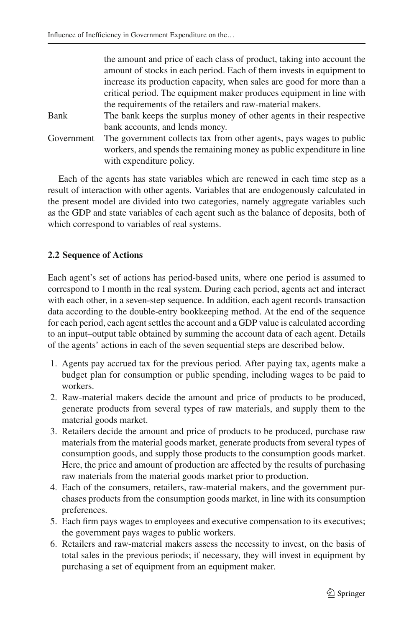| the amount and price of each class of product, taking into account the |
|------------------------------------------------------------------------|
| amount of stocks in each period. Each of them invests in equipment to  |
| increase its production capacity, when sales are good for more than a  |
| critical period. The equipment maker produces equipment in line with   |
| the requirements of the retailers and raw-material makers.             |
| The bank keeps the surplus money of other agents in their respective   |
| bank accounts, and lends money.                                        |
| The government collects tax from other agents, pays wages to public    |
| workers, and spends the remaining money as public expenditure in line  |
| with expenditure policy.                                               |
|                                                                        |

Each of the agents has state variables which are renewed in each time step as a result of interaction with other agents. Variables that are endogenously calculated in the present model are divided into two categories, namely aggregate variables such as the GDP and state variables of each agent such as the balance of deposits, both of which correspond to variables of real systems.

### **2.2 Sequence of Actions**

Each agent's set of actions has period-based units, where one period is assumed to correspond to 1 month in the real system. During each period, agents act and interact with each other, in a seven-step sequence. In addition, each agent records transaction data according to the double-entry bookkeeping method. At the end of the sequence for each period, each agent settles the account and a GDP value is calculated according to an input–output table obtained by summing the account data of each agent. Details of the agents' actions in each of the seven sequential steps are described below.

- 1. Agents pay accrued tax for the previous period. After paying tax, agents make a budget plan for consumption or public spending, including wages to be paid to workers.
- 2. Raw-material makers decide the amount and price of products to be produced, generate products from several types of raw materials, and supply them to the material goods market.
- 3. Retailers decide the amount and price of products to be produced, purchase raw materials from the material goods market, generate products from several types of consumption goods, and supply those products to the consumption goods market. Here, the price and amount of production are affected by the results of purchasing raw materials from the material goods market prior to production.
- 4. Each of the consumers, retailers, raw-material makers, and the government purchases products from the consumption goods market, in line with its consumption preferences.
- 5. Each firm pays wages to employees and executive compensation to its executives; the government pays wages to public workers.
- 6. Retailers and raw-material makers assess the necessity to invest, on the basis of total sales in the previous periods; if necessary, they will invest in equipment by purchasing a set of equipment from an equipment maker.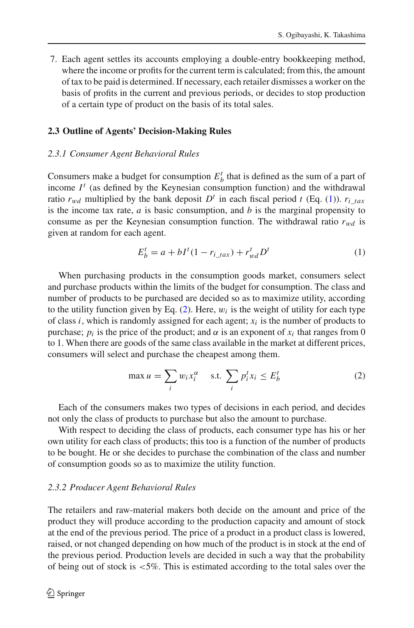7. Each agent settles its accounts employing a double-entry bookkeeping method, where the income or profits for the current term is calculated; from this, the amount of tax to be paid is determined. If necessary, each retailer dismisses a worker on the basis of profits in the current and previous periods, or decides to stop production of a certain type of product on the basis of its total sales.

### **2.3 Outline of Agents' Decision-Making Rules**

#### *2.3.1 Consumer Agent Behavioral Rules*

Consumers make a budget for consumption  $E_b^t$  that is defined as the sum of a part of income  $I<sup>t</sup>$  (as defined by the Keynesian consumption function) and the withdrawal ratio  $r_{wd}$  multiplied by the bank deposit  $D<sup>t</sup>$  in each fiscal period *t* (Eq. [\(1\)](#page-5-0)).  $r_i$  tax is the income tax rate, *a* is basic consumption, and *b* is the marginal propensity to consume as per the Keynesian consumption function. The withdrawal ratio  $r_{wd}$  is given at random for each agent.

<span id="page-5-0"></span>
$$
E_b^t = a + bI^t(1 - r_{i\_tax}) + r_{wd}^t D^t
$$
 (1)

When purchasing products in the consumption goods market, consumers select and purchase products within the limits of the budget for consumption. The class and number of products to be purchased are decided so as to maximize utility, according to the utility function given by Eq.  $(2)$ . Here,  $w_i$  is the weight of utility for each type of class  $i$ , which is randomly assigned for each agent;  $x_i$  is the number of products to purchase;  $p_i$  is the price of the product; and  $\alpha$  is an exponent of  $x_i$  that ranges from 0 to 1. When there are goods of the same class available in the market at different prices, consumers will select and purchase the cheapest among them.

<span id="page-5-1"></span>
$$
\max u = \sum_{i} w_i x_i^{\alpha} \quad \text{s.t.} \sum_{i} p_i^t x_i \le E_b^t \tag{2}
$$

Each of the consumers makes two types of decisions in each period, and decides not only the class of products to purchase but also the amount to purchase.

With respect to deciding the class of products, each consumer type has his or her own utility for each class of products; this too is a function of the number of products to be bought. He or she decides to purchase the combination of the class and number of consumption goods so as to maximize the utility function.

#### *2.3.2 Producer Agent Behavioral Rules*

The retailers and raw-material makers both decide on the amount and price of the product they will produce according to the production capacity and amount of stock at the end of the previous period. The price of a product in a product class is lowered, raised, or not changed depending on how much of the product is in stock at the end of the previous period. Production levels are decided in such a way that the probability of being out of stock is <5%. This is estimated according to the total sales over the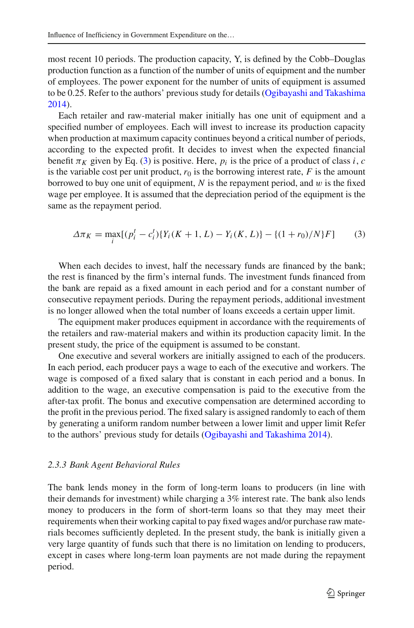most recent 10 periods. The production capacity, Y, is defined by the Cobb–Douglas production function as a function of the number of units of equipment and the number of employees. The power exponent for the number of units of equipment is assumed to be 0.25. Refer to the authors' previous study for details [\(Ogibayashi and Takashima](#page-27-11) [2014\)](#page-27-11).

Each retailer and raw-material maker initially has one unit of equipment and a specified number of employees. Each will invest to increase its production capacity when production at maximum capacity continues beyond a critical number of periods, according to the expected profit. It decides to invest when the expected financial benefit  $\pi_K$  given by Eq. [\(3\)](#page-6-0) is positive. Here,  $p_i$  is the price of a product of class *i*, *c* is the variable cost per unit product,  $r_0$  is the borrowing interest rate,  $F$  is the amount borrowed to buy one unit of equipment, *N* is the repayment period, and w is the fixed wage per employee. It is assumed that the depreciation period of the equipment is the same as the repayment period.

<span id="page-6-0"></span>
$$
\Delta \pi_K = \max_i \left[ (p_i^t - c_i^t) \{ Y_i(K+1, L) - Y_i(K, L) \} - \{ (1+r_0)/N \} F \right] \tag{3}
$$

When each decides to invest, half the necessary funds are financed by the bank; the rest is financed by the firm's internal funds. The investment funds financed from the bank are repaid as a fixed amount in each period and for a constant number of consecutive repayment periods. During the repayment periods, additional investment is no longer allowed when the total number of loans exceeds a certain upper limit.

The equipment maker produces equipment in accordance with the requirements of the retailers and raw-material makers and within its production capacity limit. In the present study, the price of the equipment is assumed to be constant.

One executive and several workers are initially assigned to each of the producers. In each period, each producer pays a wage to each of the executive and workers. The wage is composed of a fixed salary that is constant in each period and a bonus. In addition to the wage, an executive compensation is paid to the executive from the after-tax profit. The bonus and executive compensation are determined according to the profit in the previous period. The fixed salary is assigned randomly to each of them by generating a uniform random number between a lower limit and upper limit Refer to the authors' previous study for details [\(Ogibayashi and Takashima 2014](#page-27-11)).

#### *2.3.3 Bank Agent Behavioral Rules*

The bank lends money in the form of long-term loans to producers (in line with their demands for investment) while charging a 3% interest rate. The bank also lends money to producers in the form of short-term loans so that they may meet their requirements when their working capital to pay fixed wages and/or purchase raw materials becomes sufficiently depleted. In the present study, the bank is initially given a very large quantity of funds such that there is no limitation on lending to producers, except in cases where long-term loan payments are not made during the repayment period.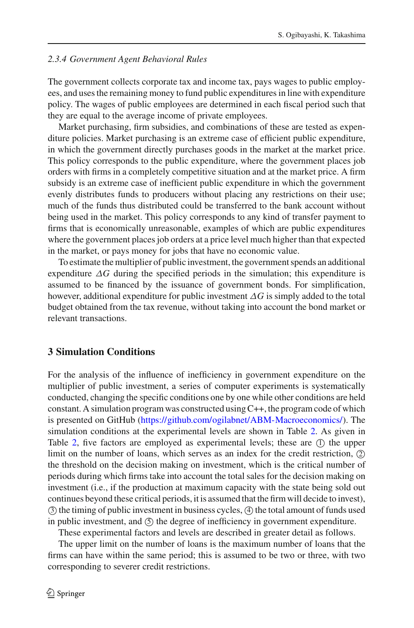#### *2.3.4 Government Agent Behavioral Rules*

The government collects corporate tax and income tax, pays wages to public employees, and uses the remaining money to fund public expenditures in line with expenditure policy. The wages of public employees are determined in each fiscal period such that they are equal to the average income of private employees.

Market purchasing, firm subsidies, and combinations of these are tested as expenditure policies. Market purchasing is an extreme case of efficient public expenditure, in which the government directly purchases goods in the market at the market price. This policy corresponds to the public expenditure, where the government places job orders with firms in a completely competitive situation and at the market price. A firm subsidy is an extreme case of inefficient public expenditure in which the government evenly distributes funds to producers without placing any restrictions on their use; much of the funds thus distributed could be transferred to the bank account without being used in the market. This policy corresponds to any kind of transfer payment to firms that is economically unreasonable, examples of which are public expenditures where the government places job orders at a price level much higher than that expected in the market, or pays money for jobs that have no economic value.

To estimate the multiplier of public investment, the government spends an additional expenditure  $\Delta G$  during the specified periods in the simulation; this expenditure is assumed to be financed by the issuance of government bonds. For simplification, however, additional expenditure for public investment Δ*G* is simply added to the total budget obtained from the tax revenue, without taking into account the bond market or relevant transactions.

### **3 Simulation Conditions**

For the analysis of the influence of inefficiency in government expenditure on the multiplier of public investment, a series of computer experiments is systematically conducted, changing the specific conditions one by one while other conditions are held constant. A simulation program was constructed using C++, the program code of which is presented on GitHub [\(https://github.com/ogilabnet/ABM-Macroeconomics/\)](https://github.com/ogilabnet/ABM-Macroeconomics/). The simulation conditions at the experimental levels are shown in Table [2.](#page-8-0) As given in Table [2,](#page-8-0) five factors are employed as experimental levels; these are  $(1)$  the upper limit on the number of loans, which serves as an index for the credit restriction,  $(2)$ the threshold on the decision making on investment, which is the critical number of periods during which firms take into account the total sales for the decision making on investment (i.e., if the production at maximum capacity with the state being sold out continues beyond these critical periods, it is assumed that the firm will decide to invest), <sup>3</sup> the timing of public investment in business cycles, <sup>4</sup> the total amount of funds used in public investment, and  $(5)$  the degree of inefficiency in government expenditure.

These experimental factors and levels are described in greater detail as follows.

The upper limit on the number of loans is the maximum number of loans that the firms can have within the same period; this is assumed to be two or three, with two corresponding to severer credit restrictions.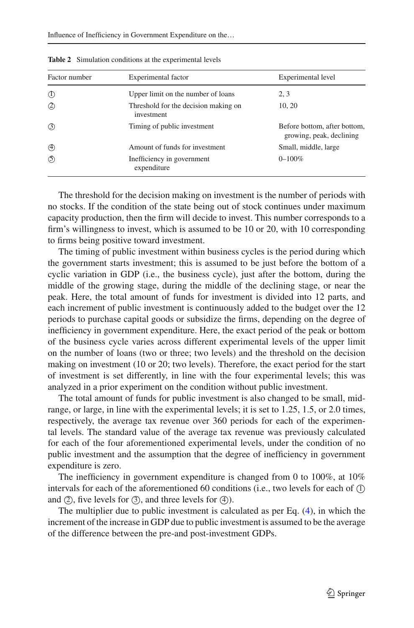| Factor number  | Experimental factor                                | Experimental level                                       |
|----------------|----------------------------------------------------|----------------------------------------------------------|
| $^\circledR$   | Upper limit on the number of loans                 | 2, 3                                                     |
| $\circled{2}$  | Threshold for the decision making on<br>investment | 10, 20                                                   |
| $\circled{3}$  | Timing of public investment                        | Before bottom, after bottom,<br>growing, peak, declining |
| $\circledcirc$ | Amount of funds for investment                     | Small, middle, large                                     |
| $\circledS$    | Inefficiency in government<br>expenditure          | $0 - 100\%$                                              |

<span id="page-8-0"></span>**Table 2** Simulation conditions at the experimental levels

The threshold for the decision making on investment is the number of periods with no stocks. If the condition of the state being out of stock continues under maximum capacity production, then the firm will decide to invest. This number corresponds to a firm's willingness to invest, which is assumed to be 10 or 20, with 10 corresponding to firms being positive toward investment.

The timing of public investment within business cycles is the period during which the government starts investment; this is assumed to be just before the bottom of a cyclic variation in GDP (i.e., the business cycle), just after the bottom, during the middle of the growing stage, during the middle of the declining stage, or near the peak. Here, the total amount of funds for investment is divided into 12 parts, and each increment of public investment is continuously added to the budget over the 12 periods to purchase capital goods or subsidize the firms, depending on the degree of inefficiency in government expenditure. Here, the exact period of the peak or bottom of the business cycle varies across different experimental levels of the upper limit on the number of loans (two or three; two levels) and the threshold on the decision making on investment (10 or 20; two levels). Therefore, the exact period for the start of investment is set differently, in line with the four experimental levels; this was analyzed in a prior experiment on the condition without public investment.

The total amount of funds for public investment is also changed to be small, midrange, or large, in line with the experimental levels; it is set to 1.25, 1.5, or 2.0 times, respectively, the average tax revenue over 360 periods for each of the experimental levels. The standard value of the average tax revenue was previously calculated for each of the four aforementioned experimental levels, under the condition of no public investment and the assumption that the degree of inefficiency in government expenditure is zero.

The inefficiency in government expenditure is changed from 0 to 100%, at 10% intervals for each of the aforementioned 60 conditions (i.e., two levels for each of  $(1)$ ) and  $(2)$ , five levels for  $(3)$ , and three levels for  $(4)$ .

The multiplier due to public investment is calculated as per Eq. [\(4\)](#page-9-0), in which the increment of the increase in GDP due to public investment is assumed to be the average of the difference between the pre-and post-investment GDPs.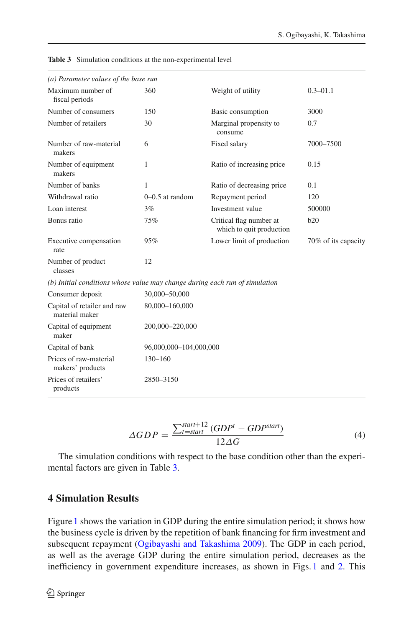| (a) Parameter values of the base run                                        |                        |                                                     |                     |
|-----------------------------------------------------------------------------|------------------------|-----------------------------------------------------|---------------------|
| Maximum number of<br>fiscal periods                                         | 360                    | Weight of utility                                   | $0.3 - 01.1$        |
| Number of consumers                                                         | 150                    | Basic consumption                                   | 3000                |
| Number of retailers                                                         | 30                     | Marginal propensity to<br>consume                   | 0.7                 |
| Number of raw-material<br>makers                                            | 6                      | Fixed salary                                        | 7000-7500           |
| Number of equipment<br>makers                                               | 1                      | Ratio of increasing price                           | 0.15                |
| Number of banks                                                             | $\mathbf{1}$           | Ratio of decreasing price                           | 0.1                 |
| Withdrawal ratio                                                            | $0-0.5$ at random      | Repayment period                                    | 120                 |
| Loan interest                                                               | 3%                     | Investment value                                    | 500000              |
| Bonus ratio                                                                 | 75%                    | Critical flag number at<br>which to quit production | h20                 |
| Executive compensation<br>rate                                              | 95%                    | Lower limit of production                           | 70% of its capacity |
| Number of product<br>classes                                                | 12                     |                                                     |                     |
| (b) Initial conditions whose value may change during each run of simulation |                        |                                                     |                     |
| Consumer deposit                                                            | 30,000-50,000          |                                                     |                     |
| Capital of retailer and raw<br>material maker                               | 80,000-160,000         |                                                     |                     |
| Capital of equipment<br>maker                                               | 200,000-220,000        |                                                     |                     |
| Capital of bank                                                             | 96,000,000-104,000,000 |                                                     |                     |
| Prices of raw-material<br>makers' products                                  | $130 - 160$            |                                                     |                     |
| Prices of retailers'<br>products                                            | 2850-3150              |                                                     |                     |

<span id="page-9-1"></span>**Table 3** Simulation conditions at the non-experimental level

<span id="page-9-0"></span>
$$
\triangle GDP = \frac{\sum_{t=start}^{start+12} (GDP^t - GDP^{start})}{12\Delta G} \tag{4}
$$

The simulation conditions with respect to the base condition other than the experimental factors are given in Table [3.](#page-9-1)

# <span id="page-9-2"></span>**4 Simulation Results**

Figure [1](#page-10-0) shows the variation in GDP during the entire simulation period; it shows how the business cycle is driven by the repetition of bank financing for firm investment and subsequent repayment [\(Ogibayashi and Takashima 2009\)](#page-27-13). The GDP in each period, as well as the average GDP during the entire simulation period, decreases as the inefficiency in government expenditure increases, as shown in Figs. [1](#page-10-0) and [2.](#page-10-1) This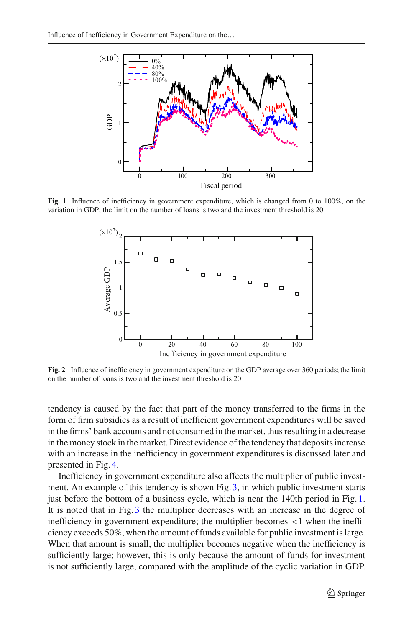

<span id="page-10-0"></span>**Fig. 1** Influence of inefficiency in government expenditure, which is changed from 0 to 100%, on the variation in GDP; the limit on the number of loans is two and the investment threshold is 20



<span id="page-10-1"></span>**Fig. 2** Influence of inefficiency in government expenditure on the GDP average over 360 periods; the limit on the number of loans is two and the investment threshold is 20

tendency is caused by the fact that part of the money transferred to the firms in the form of firm subsidies as a result of inefficient government expenditures will be saved in the firms' bank accounts and not consumed in the market, thus resulting in a decrease in the money stock in the market. Direct evidence of the tendency that deposits increase with an increase in the inefficiency in government expenditures is discussed later and presented in Fig. [4.](#page-11-0)

Inefficiency in government expenditure also affects the multiplier of public investment. An example of this tendency is shown Fig. [3,](#page-11-1) in which public investment starts just before the bottom of a business cycle, which is near the 140th period in Fig. [1.](#page-10-0) It is noted that in Fig. [3](#page-11-1) the multiplier decreases with an increase in the degree of inefficiency in government expenditure; the multiplier becomes <1 when the inefficiency exceeds 50%, when the amount of funds available for public investment is large. When that amount is small, the multiplier becomes negative when the inefficiency is sufficiently large; however, this is only because the amount of funds for investment is not sufficiently large, compared with the amplitude of the cyclic variation in GDP.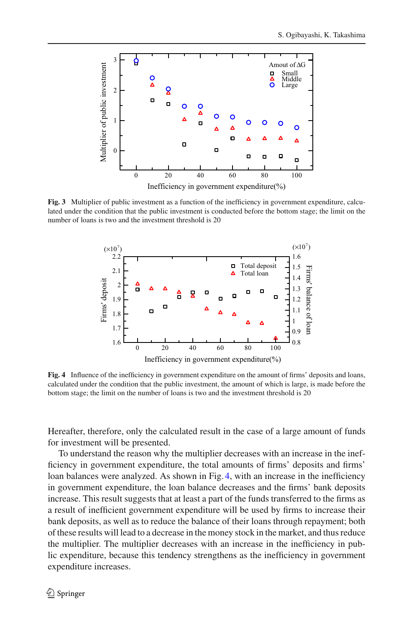

<span id="page-11-1"></span>**Fig. 3** Multiplier of public investment as a function of the inefficiency in government expenditure, calculated under the condition that the public investment is conducted before the bottom stage; the limit on the number of loans is two and the investment threshold is 20



<span id="page-11-0"></span>**Fig. 4** Influence of the inefficiency in government expenditure on the amount of firms' deposits and loans, calculated under the condition that the public investment, the amount of which is large, is made before the bottom stage; the limit on the number of loans is two and the investment threshold is 20

Hereafter, therefore, only the calculated result in the case of a large amount of funds for investment will be presented.

To understand the reason why the multiplier decreases with an increase in the inefficiency in government expenditure, the total amounts of firms' deposits and firms' loan balances were analyzed. As shown in Fig. [4,](#page-11-0) with an increase in the inefficiency in government expenditure, the loan balance decreases and the firms' bank deposits increase. This result suggests that at least a part of the funds transferred to the firms as a result of inefficient government expenditure will be used by firms to increase their bank deposits, as well as to reduce the balance of their loans through repayment; both of these results will lead to a decrease in the money stock in the market, and thus reduce the multiplier. The multiplier decreases with an increase in the inefficiency in public expenditure, because this tendency strengthens as the inefficiency in government expenditure increases.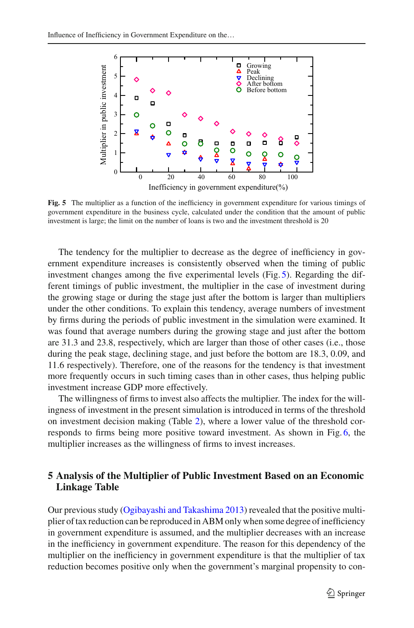

<span id="page-12-0"></span>**Fig. 5** The multiplier as a function of the inefficiency in government expenditure for various timings of government expenditure in the business cycle, calculated under the condition that the amount of public investment is large; the limit on the number of loans is two and the investment threshold is 20

The tendency for the multiplier to decrease as the degree of inefficiency in government expenditure increases is consistently observed when the timing of public investment changes among the five experimental levels (Fig. [5\)](#page-12-0). Regarding the different timings of public investment, the multiplier in the case of investment during the growing stage or during the stage just after the bottom is larger than multipliers under the other conditions. To explain this tendency, average numbers of investment by firms during the periods of public investment in the simulation were examined. It was found that average numbers during the growing stage and just after the bottom are 31.3 and 23.8, respectively, which are larger than those of other cases (i.e., those during the peak stage, declining stage, and just before the bottom are 18.3, 0.09, and 11.6 respectively). Therefore, one of the reasons for the tendency is that investment more frequently occurs in such timing cases than in other cases, thus helping public investment increase GDP more effectively.

The willingness of firms to invest also affects the multiplier. The index for the willingness of investment in the present simulation is introduced in terms of the threshold on investment decision making (Table [2\)](#page-8-0), where a lower value of the threshold corresponds to firms being more positive toward investment. As shown in Fig. [6,](#page-13-0) the multiplier increases as the willingness of firms to invest increases.

# <span id="page-12-1"></span>**5 Analysis of the Multiplier of Public Investment Based on an Economic Linkage Table**

Our previous study [\(Ogibayashi and Takashima 2013](#page-27-10)) revealed that the positive multiplier of tax reduction can be reproduced in ABM only when some degree of inefficiency in government expenditure is assumed, and the multiplier decreases with an increase in the inefficiency in government expenditure. The reason for this dependency of the multiplier on the inefficiency in government expenditure is that the multiplier of tax reduction becomes positive only when the government's marginal propensity to con-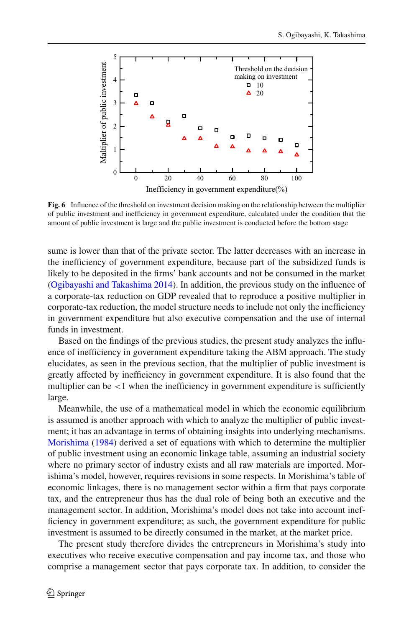

<span id="page-13-0"></span>**Fig. 6** Influence of the threshold on investment decision making on the relationship between the multiplier of public investment and inefficiency in government expenditure, calculated under the condition that the amount of public investment is large and the public investment is conducted before the bottom stage

sume is lower than that of the private sector. The latter decreases with an increase in the inefficiency of government expenditure, because part of the subsidized funds is likely to be deposited in the firms' bank accounts and not be consumed in the market [\(Ogibayashi and Takashima 2014](#page-27-11)). In addition, the previous study on the influence of a corporate-tax reduction on GDP revealed that to reproduce a positive multiplier in corporate-tax reduction, the model structure needs to include not only the inefficiency in government expenditure but also executive compensation and the use of internal funds in investment.

Based on the findings of the previous studies, the present study analyzes the influence of inefficiency in government expenditure taking the ABM approach. The study elucidates, as seen in the previous section, that the multiplier of public investment is greatly affected by inefficiency in government expenditure. It is also found that the multiplier can be  $\langle 1 \rangle$  when the inefficiency in government expenditure is sufficiently large.

Meanwhile, the use of a mathematical model in which the economic equilibrium is assumed is another approach with which to analyze the multiplier of public investment; it has an advantage in terms of obtaining insights into underlying mechanisms. [Morishima](#page-27-7) [\(1984\)](#page-27-7) derived a set of equations with which to determine the multiplier of public investment using an economic linkage table, assuming an industrial society where no primary sector of industry exists and all raw materials are imported. Morishima's model, however, requires revisions in some respects. In Morishima's table of economic linkages, there is no management sector within a firm that pays corporate tax, and the entrepreneur thus has the dual role of being both an executive and the management sector. In addition, Morishima's model does not take into account inefficiency in government expenditure; as such, the government expenditure for public investment is assumed to be directly consumed in the market, at the market price.

The present study therefore divides the entrepreneurs in Morishima's study into executives who receive executive compensation and pay income tax, and those who comprise a management sector that pays corporate tax. In addition, to consider the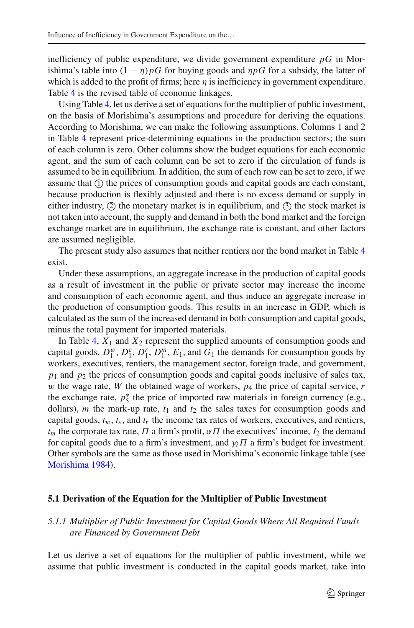inefficiency of public expenditure, we divide government expenditure  $pG$  in Morishima's table into  $(1 - \eta)pG$  for buying goods and  $\eta pG$  for a subsidy, the latter of which is added to the profit of firms; here  $\eta$  is inefficiency in government expenditure. Table [4](#page-15-0) is the revised table of economic linkages.

Using Table [4,](#page-15-0) let us derive a set of equations for the multiplier of public investment, on the basis of Morishima's assumptions and procedure for deriving the equations. According to Morishima, we can make the following assumptions. Columns 1 and 2 in Table [4](#page-15-0) represent price-determining equations in the production sectors; the sum of each column is zero. Other columns show the budget equations for each economic agent, and the sum of each column can be set to zero if the circulation of funds is assumed to be in equilibrium. In addition, the sum of each row can be set to zero, if we assume that (I) the prices of consumption goods and capital goods are each constant, because production is flexibly adjusted and there is no excess demand or supply in either industry,  $(2)$  the monetary market is in equilibrium, and  $(3)$  the stock market is not taken into account, the supply and demand in both the bond market and the foreign exchange market are in equilibrium, the exchange rate is constant, and other factors are assumed negligible.

The present study also assumes that neither rentiers nor the bond market in Table [4](#page-15-0) exist.

Under these assumptions, an aggregate increase in the production of capital goods as a result of investment in the public or private sector may increase the income and consumption of each economic agent, and thus induce an aggregate increase in the production of consumption goods. This results in an increase in GDP, which is calculated as the sum of the increased demand in both consumption and capital goods, minus the total payment for imported materials.

In Table [4,](#page-15-0)  $X_1$  and  $X_2$  represent the supplied amounts of consumption goods and capital goods,  $D_1^w$ ,  $D_1^e$ ,  $D_1^r$ ,  $D_1^m$ ,  $E_1$ , and  $G_1$  the demands for consumption goods by workers, executives, rentiers, the management sector, foreign trade, and government, *p*<sup>1</sup> and *p*<sup>2</sup> the prices of consumption goods and capital goods inclusive of sales tax, w the wage rate, *W* the obtained wage of workers,  $p_4$  the price of capital service,  $r$ the exchange rate,  $p_5^*$  the price of imported raw materials in foreign currency (e.g., dollars),  $m$  the mark-up rate,  $t_1$  and  $t_2$  the sales taxes for consumption goods and capital goods, *t*w, *te*, and *tr* the income tax rates of workers, executives, and rentiers,  $t_m$  the corporate tax rate,  $\Pi$  a firm's profit,  $\alpha \Pi$  the executives' income,  $I_2$  the demand for capital goods due to a firm's investment, and  $\gamma_i \Pi$  a firm's budget for investment. Other symbols are the same as those used in Morishima's economic linkage table (see [Morishima 1984\)](#page-27-7).

#### **5.1 Derivation of the Equation for the Multiplier of Public Investment**

### *5.1.1 Multiplier of Public Investment for Capital Goods Where All Required Funds are Financed by Government Debt*

Let us derive a set of equations for the multiplier of public investment, while we assume that public investment is conducted in the capital goods market, take into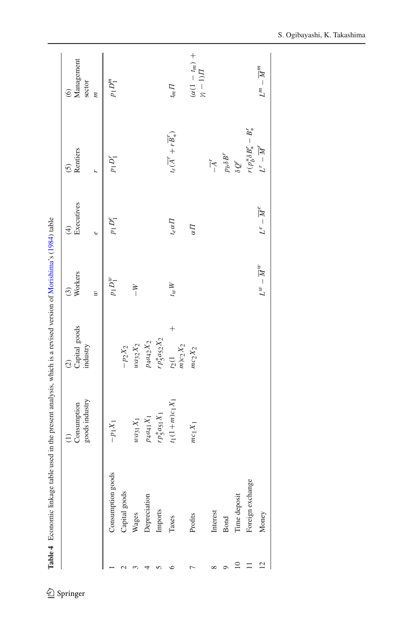|                | Table 4 Economic linkage table used in the present analysis, which is a revised version of Morishima's (1984) table |                               |                                      |                      |                        |                                           |                                              |
|----------------|---------------------------------------------------------------------------------------------------------------------|-------------------------------|--------------------------------------|----------------------|------------------------|-------------------------------------------|----------------------------------------------|
|                |                                                                                                                     | $\widehat{\Xi}$               | $\widehat{c}$                        | $\widehat{c}$        | $\widehat{E}$          | $\overline{5}$                            | $\odot$                                      |
|                |                                                                                                                     | goods industry<br>Consumption | Capital goods<br>industry            | Workers              | Executives             | Rentiers                                  | Management<br>sector                         |
|                |                                                                                                                     |                               |                                      | $\overline{a}$       | c                      | L                                         | $\mu$                                        |
|                | Consumption goods                                                                                                   | $-p_1 X_1$                    |                                      | $p_1D_1^w$           | $p_1D_1^e$             | $p_1D_1^r$                                | $p_1D_1^m$                                   |
| N              | Capital goods                                                                                                       |                               | $-p_2 X_2$                           |                      |                        |                                           |                                              |
| ς              | Wages                                                                                                               | $\log_1 X_1$                  | $\log_2 X_2$                         | $\frac{1}{1}$        |                        |                                           |                                              |
| 4              | Depreciation                                                                                                        | $p_4a_4_1X_1$                 | $p_4a_42X_2$                         |                      |                        |                                           |                                              |
| 5              | Imports                                                                                                             | $rp_5^*a_{51}X_1$             | $rp_5^*a_{52}X_2$                    |                      |                        |                                           |                                              |
| ७              | Taxes                                                                                                               | $t_1(1+m)c_1X_1$              | $^{+}$<br>$m$ ) $c_2X_2$<br>$b_2(1)$ | $t_w$ W              | $t_e \alpha \Pi$       | $t_r(\overline{A}^r + r\overline{B}_*^r)$ | $t_m$ $\Pi$                                  |
| 冖              | Profits                                                                                                             | $mc_1X_1$                     | $mc_2X_2$                            |                      | $\alpha$               |                                           | $(\alpha(1 - t_m) +$<br>$\gamma_i-1) \varPi$ |
| $\infty$       | Interest                                                                                                            |                               |                                      |                      |                        | $-\vec{A}^r$                              |                                              |
| O              | <b>Bond</b>                                                                                                         |                               |                                      |                      |                        | $p_b \delta B'$                           |                                              |
| $\approx$      | Time deposit                                                                                                        |                               |                                      |                      |                        | $\delta \mathcal{Q}^r$                    |                                              |
| $\equiv$       | Foreign exchange                                                                                                    |                               |                                      |                      |                        | $r(p_b^*\delta B_*^r - B_*^r)$            |                                              |
| $\overline{c}$ | Money                                                                                                               |                               |                                      | $L^w-\overline{M}^w$ | $L^e - \overline{M}^e$ | $L^r - \overline{M}^r$                    | $L^m - \overline{M}^m$                       |
|                |                                                                                                                     |                               |                                      |                      |                        |                                           |                                              |

<span id="page-15-0"></span>

S. Ogibayashi, K. Takashima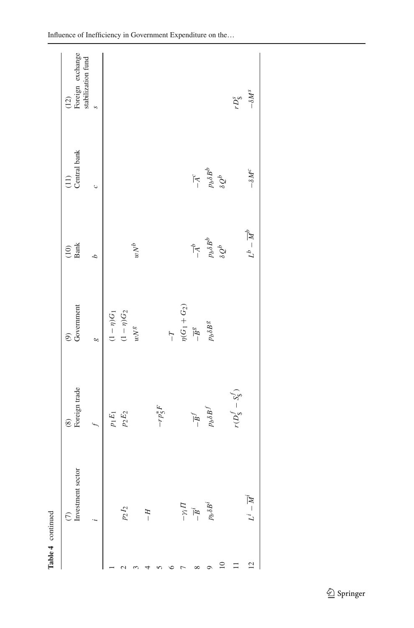|                | Investment sector<br>$\widehat{C}$          | (8)<br>Foreign trade                              | $(9)$<br>Government                | $(10)$<br>Bank                          | Central bank<br>$\left(11\right)$                                                 | $(12)$<br>Foreign exchange<br>stabilization fund |
|----------------|---------------------------------------------|---------------------------------------------------|------------------------------------|-----------------------------------------|-----------------------------------------------------------------------------------|--------------------------------------------------|
|                |                                             |                                                   | $\infty$                           | ς                                       | $\circ$                                                                           | S                                                |
|                |                                             |                                                   |                                    |                                         |                                                                                   |                                                  |
|                | $p_2I_2$                                    | $\begin{array}{l} p_1 E_1 \\ p_2 E_2 \end{array}$ | $(1 - \eta)G_1$<br>$(1 - \eta)G_2$ |                                         |                                                                                   |                                                  |
|                |                                             |                                                   | $wN^g$                             | $wN^b$                                  |                                                                                   |                                                  |
|                | $H -$                                       |                                                   |                                    |                                         |                                                                                   |                                                  |
|                |                                             | $-rp_5^{\ast}F$                                   |                                    |                                         |                                                                                   |                                                  |
|                |                                             |                                                   | $-7$                               |                                         |                                                                                   |                                                  |
|                |                                             |                                                   | $\eta(G_1+G_2)$                    |                                         |                                                                                   |                                                  |
| ${}^{\circ}$   | $-\gamma_i \frac{\Pi}{L} \mu - \frac{1}{L}$ | $-\overline{B}^f$                                 | $-\overline{B}^g$                  | $\frac{1}{4}$                           |                                                                                   |                                                  |
| $\circ$        | $p_b \delta B^i$                            | $p_b \delta B^f$                                  | $p_b \delta B^g$                   | $p_b \delta B^b$ $\delta \mathcal{Q}^b$ | $\begin{array}{l} -\overline{A}^c \\ \\ p_b \delta B^b \\ \delta Q^b \end{array}$ |                                                  |
| $\approx$      |                                             |                                                   |                                    |                                         |                                                                                   |                                                  |
|                |                                             | $r(D_{\S}^f-S_{\S}^f)$                            |                                    |                                         |                                                                                   | $rD_{\varphi}^{s}$                               |
| $\overline{c}$ | $L^i - \overline{M}^i$                      |                                                   |                                    | $L^b-\overline{M}^b$                    | $- \delta M^c$                                                                    | $-\delta M^s$                                    |

Table 4 continued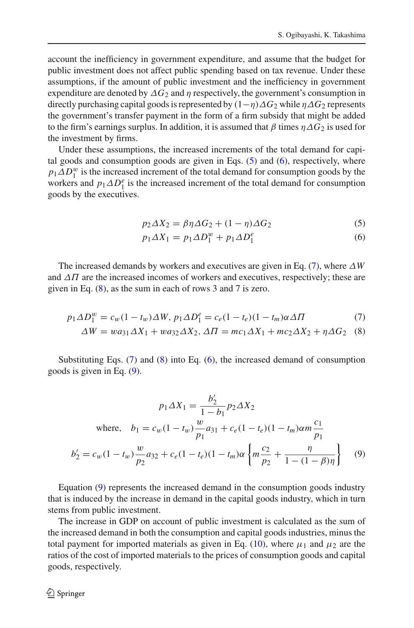account the inefficiency in government expenditure, and assume that the budget for public investment does not affect public spending based on tax revenue. Under these assumptions, if the amount of public investment and the inefficiency in government expenditure are denoted by  $\Delta G_2$  and  $\eta$  respectively, the government's consumption in directly purchasing capital goods is represented by  $(1-\eta)\Delta G_2$  while  $\eta \Delta G_2$  represents the government's transfer payment in the form of a firm subsidy that might be added to the firm's earnings surplus. In addition, it is assumed that  $\beta$  times  $\eta \Delta G_2$  is used for the investment by firms.

Under these assumptions, the increased increments of the total demand for capital goods and consumption goods are given in Eqs.  $(5)$  and  $(6)$ , respectively, where  $p_1 \Delta D_1^w$  is the increased increment of the total demand for consumption goods by the workers and  $p_1 \Delta D_1^e$  is the increased increment of the total demand for consumption goods by the executives.

<span id="page-17-0"></span>
$$
p_2 \Delta X_2 = \beta \eta \Delta G_2 + (1 - \eta) \Delta G_2 \tag{5}
$$

$$
p_1 \Delta X_1 = p_1 \Delta D_1^w + p_1 \Delta D_1^e \tag{6}
$$

The increased demands by workers and executives are given in Eq. [\(7\)](#page-17-1), where Δ*W* and  $\Delta \Pi$  are the increased incomes of workers and executives, respectively; these are given in Eq. [\(8\)](#page-17-1), as the sum in each of rows 3 and 7 is zero.

<span id="page-17-1"></span>
$$
p_1 \Delta D_1^w = c_w (1 - t_w) \Delta W, \ p_1 \Delta D_1^e = c_e (1 - t_e) (1 - t_m) \alpha \Delta \Pi
$$
\n(7)

$$
\Delta W = w a_{31} \Delta X_1 + w a_{32} \Delta X_2, \Delta \Pi = mc_1 \Delta X_1 + mc_2 \Delta X_2 + \eta \Delta G_2
$$
 (8)

Substituting Eqs. [\(7\)](#page-17-1) and [\(8\)](#page-17-1) into Eq. [\(6\)](#page-17-0), the increased demand of consumption goods is given in Eq. [\(9\)](#page-17-2).

<span id="page-17-2"></span>
$$
p_1 \Delta X_1 = \frac{b'_2}{1 - b_1} p_2 \Delta X_2
$$
  
where,  $b_1 = c_w (1 - t_w) \frac{w}{p_1} a_{31} + c_e (1 - t_e) (1 - t_m) \alpha m \frac{c_1}{p_1}$   

$$
b'_2 = c_w (1 - t_w) \frac{w}{p_2} a_{32} + c_e (1 - t_e) (1 - t_m) \alpha \left\{ m \frac{c_2}{p_2} + \frac{\eta}{1 - (1 - \beta)\eta} \right\}
$$
(9)

Equation [\(9\)](#page-17-2) represents the increased demand in the consumption goods industry that is induced by the increase in demand in the capital goods industry, which in turn stems from public investment.

The increase in GDP on account of public investment is calculated as the sum of the increased demand in both the consumption and capital goods industries, minus the total payment for imported materials as given in Eq. [\(10\)](#page-18-0), where  $\mu_1$  and  $\mu_2$  are the ratios of the cost of imported materials to the prices of consumption goods and capital goods, respectively.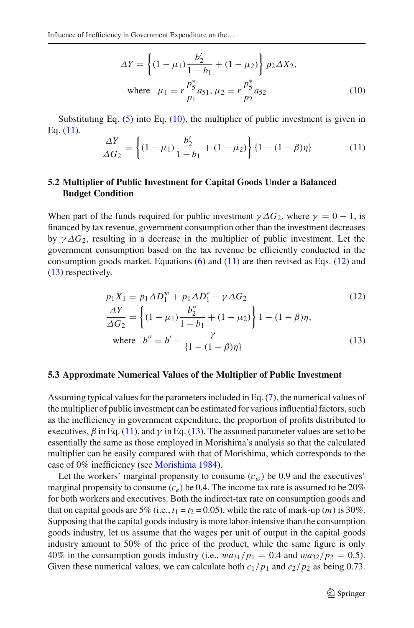<span id="page-18-0"></span>
$$
\Delta Y = \left\{ (1 - \mu_1) \frac{b_2'}{1 - b_1} + (1 - \mu_2) \right\} p_2 \Delta X_2,
$$
  
where  $\mu_1 = r \frac{p_5^*}{p_1} a_{51}, \mu_2 = r \frac{p_5^*}{p_2} a_{52}$  (10)

Substituting Eq.  $(5)$  into Eq.  $(10)$ , the multiplier of public investment is given in Eq. [\(11\)](#page-18-1).

<span id="page-18-1"></span>
$$
\frac{\Delta Y}{\Delta G_2} = \left\{ (1 - \mu_1) \frac{b_2'}{1 - b_1} + (1 - \mu_2) \right\} \{1 - (1 - \beta)\eta\}
$$
(11)

### **5.2 Multiplier of Public Investment for Capital Goods Under a Balanced Budget Condition**

When part of the funds required for public investment  $\gamma \Delta G_2$ , where  $\gamma = 0 - 1$ , is financed by tax revenue, government consumption other than the investment decreases by  $\gamma \Delta G_2$ , resulting in a decrease in the multiplier of public investment. Let the government consumption based on the tax revenue be efficiently conducted in the consumption goods market. Equations  $(6)$  and  $(11)$  are then revised as Eqs.  $(12)$  and [\(13\)](#page-18-2) respectively.

<span id="page-18-2"></span>
$$
p_1 X_1 = p_1 \Delta D_1^w + p_1 \Delta D_1^e - \gamma \Delta G_2
$$
\n
$$
\frac{\Delta Y}{\Delta G_2} = \left\{ (1 - \mu_1) \frac{b_2^w}{1 - b_1} + (1 - \mu_2) \right\} 1 - (1 - \beta)\eta,
$$
\nwhere

\n
$$
b'' = b' - \frac{\gamma}{\{1 - (1 - \beta)\eta\}}
$$
\n(13)

### **5.3 Approximate Numerical Values of the Multiplier of Public Investment**

Assuming typical values for the parameters included in Eq. [\(7\)](#page-17-1), the numerical values of the multiplier of public investment can be estimated for various influential factors, such as the inefficiency in government expenditure, the proportion of profits distributed to executives,  $\beta$  in Eq. [\(11\)](#page-18-1), and  $\gamma$  in Eq. [\(13\)](#page-18-2). The assumed parameter values are set to be essentially the same as those employed in Morishima's analysis so that the calculated multiplier can be easily compared with that of Morishima, which corresponds to the case of 0% inefficiency (see [Morishima 1984\)](#page-27-7).

Let the workers' marginal propensity to consume  $(c_w)$  be 0.9 and the executives' marginal propensity to consume  $(c_e)$  be 0.4. The income tax rate is assumed to be 20% for both workers and executives. Both the indirect-tax rate on consumption goods and that on capital goods are 5% (i.e.,  $t_1 = t_2 = 0.05$ ), while the rate of mark-up (*m*) is 30%. Supposing that the capital goods industry is more labor-intensive than the consumption goods industry, let us assume that the wages per unit of output in the capital goods industry amount to 50% of the price of the product, while the same figure is only 40% in the consumption goods industry (i.e.,  $wa_{31}/p_1 = 0.4$  and  $wa_{32}/p_2 = 0.5$ ). Given these numerical values, we can calculate both  $c_1/p_1$  and  $c_2/p_2$  as being 0.73.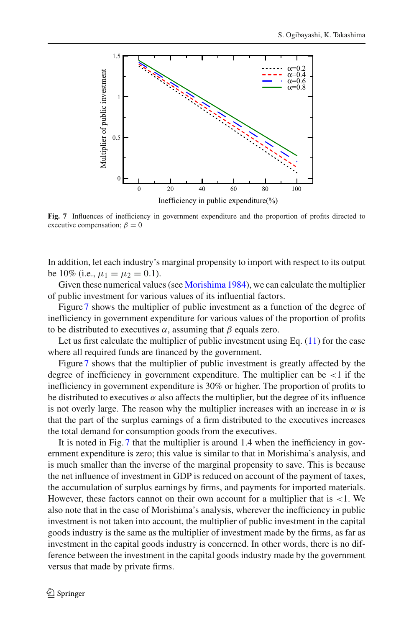

<span id="page-19-0"></span>**Fig. 7** Influences of inefficiency in government expenditure and the proportion of profits directed to executive compensation;  $\beta = 0$ 

In addition, let each industry's marginal propensity to import with respect to its output be 10% (i.e.,  $\mu_1 = \mu_2 = 0.1$ ).

Given these numerical values (see [Morishima 1984](#page-27-7)), we can calculate the multiplier of public investment for various values of its influential factors.

Figure [7](#page-19-0) shows the multiplier of public investment as a function of the degree of inefficiency in government expenditure for various values of the proportion of profits to be distributed to executives  $\alpha$ , assuming that  $\beta$  equals zero.

Let us first calculate the multiplier of public investment using Eq. [\(11\)](#page-18-1) for the case where all required funds are financed by the government.

Figure [7](#page-19-0) shows that the multiplier of public investment is greatly affected by the degree of inefficiency in government expenditure. The multiplier can be  $\lt 1$  if the inefficiency in government expenditure is 30% or higher. The proportion of profits to be distributed to executives  $\alpha$  also affects the multiplier, but the degree of its influence is not overly large. The reason why the multiplier increases with an increase in  $\alpha$  is that the part of the surplus earnings of a firm distributed to the executives increases the total demand for consumption goods from the executives.

It is noted in Fig. [7](#page-19-0) that the multiplier is around 1.4 when the inefficiency in government expenditure is zero; this value is similar to that in Morishima's analysis, and is much smaller than the inverse of the marginal propensity to save. This is because the net influence of investment in GDP is reduced on account of the payment of taxes, the accumulation of surplus earnings by firms, and payments for imported materials. However, these factors cannot on their own account for a multiplier that is  $\leq 1$ . We also note that in the case of Morishima's analysis, wherever the inefficiency in public investment is not taken into account, the multiplier of public investment in the capital goods industry is the same as the multiplier of investment made by the firms, as far as investment in the capital goods industry is concerned. In other words, there is no difference between the investment in the capital goods industry made by the government versus that made by private firms.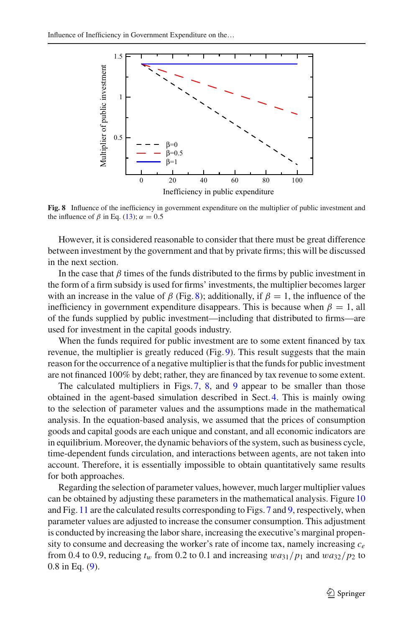

<span id="page-20-0"></span>**Fig. 8** Influence of the inefficiency in government expenditure on the multiplier of public investment and the influence of  $\beta$  in Eq. [\(13\)](#page-18-2);  $\alpha = 0.5$ 

However, it is considered reasonable to consider that there must be great difference between investment by the government and that by private firms; this will be discussed in the next section.

In the case that  $\beta$  times of the funds distributed to the firms by public investment in the form of a firm subsidy is used for firms' investments, the multiplier becomes larger with an increase in the value of  $\beta$  (Fig. [8\)](#page-20-0); additionally, if  $\beta = 1$ , the influence of the inefficiency in government expenditure disappears. This is because when  $\beta = 1$ , all of the funds supplied by public investment—including that distributed to firms—are used for investment in the capital goods industry.

When the funds required for public investment are to some extent financed by tax revenue, the multiplier is greatly reduced (Fig. [9\)](#page-21-0). This result suggests that the main reason for the occurrence of a negative multiplier is that the funds for public investment are not financed 100% by debt; rather, they are financed by tax revenue to some extent.

The calculated multipliers in Figs. [7,](#page-19-0) [8,](#page-20-0) and [9](#page-21-0) appear to be smaller than those obtained in the agent-based simulation described in Sect. [4.](#page-9-2) This is mainly owing to the selection of parameter values and the assumptions made in the mathematical analysis. In the equation-based analysis, we assumed that the prices of consumption goods and capital goods are each unique and constant, and all economic indicators are in equilibrium. Moreover, the dynamic behaviors of the system, such as business cycle, time-dependent funds circulation, and interactions between agents, are not taken into account. Therefore, it is essentially impossible to obtain quantitatively same results for both approaches.

Regarding the selection of parameter values, however, much larger multiplier values can be obtained by adjusting these parameters in the mathematical analysis. Figure [10](#page-21-1) and Fig. [11](#page-22-0) are the calculated results corresponding to Figs. [7](#page-19-0) and [9,](#page-21-0) respectively, when parameter values are adjusted to increase the consumer consumption. This adjustment is conducted by increasing the labor share, increasing the executive's marginal propensity to consume and decreasing the worker's rate of income tax, namely increasing *ce* from 0.4 to 0.9, reducing  $t_w$  from 0.2 to 0.1 and increasing  $w a_{31}/p_1$  and  $w a_{32}/p_2$  to 0.8 in Eq. [\(9\)](#page-17-2).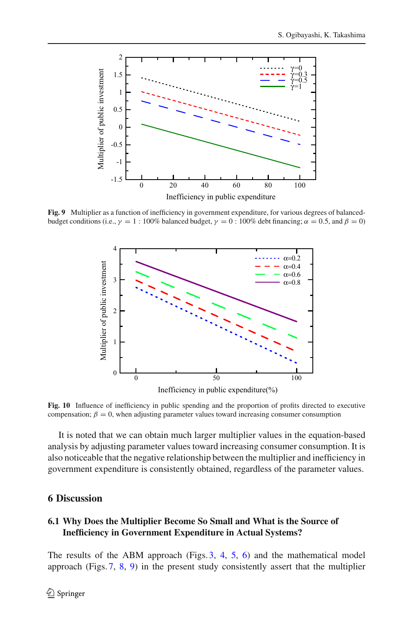

<span id="page-21-0"></span>**Fig. 9** Multiplier as a function of inefficiency in government expenditure, for various degrees of balancedbudget conditions (i.e.,  $\gamma = 1$ : 100% balanced budget,  $\gamma = 0$ : 100% debt financing;  $\alpha = 0.5$ , and  $\beta = 0$ )



<span id="page-21-1"></span>**Fig. 10** Influence of inefficiency in public spending and the proportion of profits directed to executive compensation;  $\beta = 0$ , when adjusting parameter values toward increasing consumer consumption

It is noted that we can obtain much larger multiplier values in the equation-based analysis by adjusting parameter values toward increasing consumer consumption. It is also noticeable that the negative relationship between the multiplier and inefficiency in government expenditure is consistently obtained, regardless of the parameter values.

### **6 Discussion**

# **6.1 Why Does the Multiplier Become So Small and What is the Source of Inefficiency in Government Expenditure in Actual Systems?**

The results of the ABM approach (Figs. [3,](#page-11-1) [4,](#page-11-0) [5,](#page-12-0) [6\)](#page-13-0) and the mathematical model approach (Figs. [7,](#page-19-0) [8,](#page-20-0) [9\)](#page-21-0) in the present study consistently assert that the multiplier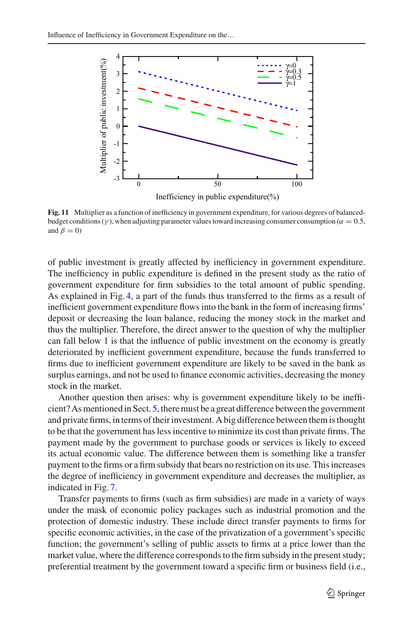

<span id="page-22-0"></span>**Fig. 11** Multiplier as a function of inefficiency in government expenditure, for various degrees of balancedbudget conditions (γ), when adjusting parameter values toward increasing consumer consumption ( $\alpha = 0.5$ , and  $\beta = 0$ )

of public investment is greatly affected by inefficiency in government expenditure. The inefficiency in public expenditure is defined in the present study as the ratio of government expenditure for firm subsidies to the total amount of public spending. As explained in Fig. [4,](#page-11-0) a part of the funds thus transferred to the firms as a result of inefficient government expenditure flows into the bank in the form of increasing firms' deposit or decreasing the loan balance, reducing the money stock in the market and thus the multiplier. Therefore, the direct answer to the question of why the multiplier can fall below 1 is that the influence of public investment on the economy is greatly deteriorated by inefficient government expenditure, because the funds transferred to firms due to inefficient government expenditure are likely to be saved in the bank as surplus earnings, and not be used to finance economic activities, decreasing the money stock in the market.

Another question then arises: why is government expenditure likely to be inefficient? As mentioned in Sect. [5,](#page-12-1) there must be a great difference between the government and private firms, in terms of their investment. A big difference between them is thought to be that the government has less incentive to minimize its cost than private firms. The payment made by the government to purchase goods or services is likely to exceed its actual economic value. The difference between them is something like a transfer payment to the firms or a firm subsidy that bears no restriction on its use. This increases the degree of inefficiency in government expenditure and decreases the multiplier, as indicated in Fig. [7.](#page-19-0)

Transfer payments to firms (such as firm subsidies) are made in a variety of ways under the mask of economic policy packages such as industrial promotion and the protection of domestic industry. These include direct transfer payments to firms for specific economic activities, in the case of the privatization of a government's specific function; the government's selling of public assets to firms at a price lower than the market value, where the difference corresponds to the firm subsidy in the present study; preferential treatment by the government toward a specific firm or business field (i.e.,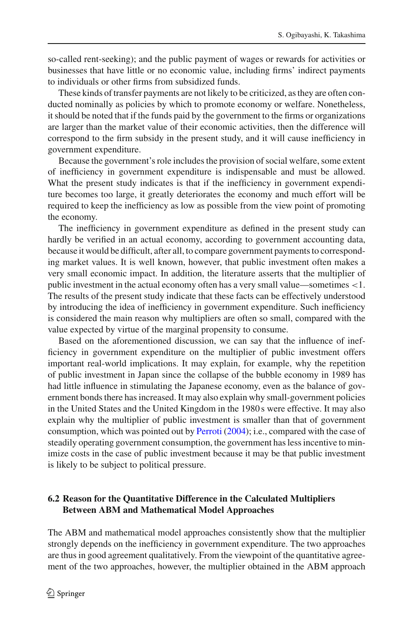so-called rent-seeking); and the public payment of wages or rewards for activities or businesses that have little or no economic value, including firms' indirect payments to individuals or other firms from subsidized funds.

These kinds of transfer payments are not likely to be criticized, as they are often conducted nominally as policies by which to promote economy or welfare. Nonetheless, it should be noted that if the funds paid by the government to the firms or organizations are larger than the market value of their economic activities, then the difference will correspond to the firm subsidy in the present study, and it will cause inefficiency in government expenditure.

Because the government's role includes the provision of social welfare, some extent of inefficiency in government expenditure is indispensable and must be allowed. What the present study indicates is that if the inefficiency in government expenditure becomes too large, it greatly deteriorates the economy and much effort will be required to keep the inefficiency as low as possible from the view point of promoting the economy.

The inefficiency in government expenditure as defined in the present study can hardly be verified in an actual economy, according to government accounting data, because it would be difficult, after all, to compare government payments to corresponding market values. It is well known, however, that public investment often makes a very small economic impact. In addition, the literature asserts that the multiplier of public investment in the actual economy often has a very small value—sometimes <1. The results of the present study indicate that these facts can be effectively understood by introducing the idea of inefficiency in government expenditure. Such inefficiency is considered the main reason why multipliers are often so small, compared with the value expected by virtue of the marginal propensity to consume.

Based on the aforementioned discussion, we can say that the influence of inefficiency in government expenditure on the multiplier of public investment offers important real-world implications. It may explain, for example, why the repetition of public investment in Japan since the collapse of the bubble economy in 1989 has had little influence in stimulating the Japanese economy, even as the balance of government bonds there has increased. It may also explain why small-government policies in the United States and the United Kingdom in the 1980 s were effective. It may also explain why the multiplier of public investment is smaller than that of government consumption, which was pointed out by [Perroti](#page-27-5) [\(2004\)](#page-27-5); i.e., compared with the case of steadily operating government consumption, the government has less incentive to minimize costs in the case of public investment because it may be that public investment is likely to be subject to political pressure.

# **6.2 Reason for the Quantitative Difference in the Calculated Multipliers Between ABM and Mathematical Model Approaches**

The ABM and mathematical model approaches consistently show that the multiplier strongly depends on the inefficiency in government expenditure. The two approaches are thus in good agreement qualitatively. From the viewpoint of the quantitative agreement of the two approaches, however, the multiplier obtained in the ABM approach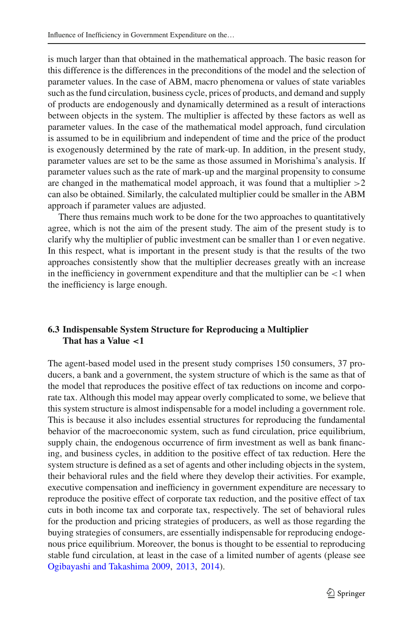is much larger than that obtained in the mathematical approach. The basic reason for this difference is the differences in the preconditions of the model and the selection of parameter values. In the case of ABM, macro phenomena or values of state variables such as the fund circulation, business cycle, prices of products, and demand and supply of products are endogenously and dynamically determined as a result of interactions between objects in the system. The multiplier is affected by these factors as well as parameter values. In the case of the mathematical model approach, fund circulation is assumed to be in equilibrium and independent of time and the price of the product is exogenously determined by the rate of mark-up. In addition, in the present study, parameter values are set to be the same as those assumed in Morishima's analysis. If parameter values such as the rate of mark-up and the marginal propensity to consume are changed in the mathematical model approach, it was found that a multiplier  $>2$ can also be obtained. Similarly, the calculated multiplier could be smaller in the ABM approach if parameter values are adjusted.

There thus remains much work to be done for the two approaches to quantitatively agree, which is not the aim of the present study. The aim of the present study is to clarify why the multiplier of public investment can be smaller than 1 or even negative. In this respect, what is important in the present study is that the results of the two approaches consistently show that the multiplier decreases greatly with an increase in the inefficiency in government expenditure and that the multiplier can be  $\lt 1$  when the inefficiency is large enough.

# **6.3 Indispensable System Structure for Reproducing a Multiplier That has a Value** *<***1**

The agent-based model used in the present study comprises 150 consumers, 37 producers, a bank and a government, the system structure of which is the same as that of the model that reproduces the positive effect of tax reductions on income and corporate tax. Although this model may appear overly complicated to some, we believe that this system structure is almost indispensable for a model including a government role. This is because it also includes essential structures for reproducing the fundamental behavior of the macroeconomic system, such as fund circulation, price equilibrium, supply chain, the endogenous occurrence of firm investment as well as bank financing, and business cycles, in addition to the positive effect of tax reduction. Here the system structure is defined as a set of agents and other including objects in the system, their behavioral rules and the field where they develop their activities. For example, executive compensation and inefficiency in government expenditure are necessary to reproduce the positive effect of corporate tax reduction, and the positive effect of tax cuts in both income tax and corporate tax, respectively. The set of behavioral rules for the production and pricing strategies of producers, as well as those regarding the buying strategies of consumers, are essentially indispensable for reproducing endogenous price equilibrium. Moreover, the bonus is thought to be essential to reproducing stable fund circulation, at least in the case of a limited number of agents (please see [Ogibayashi and Takashima 2009,](#page-27-13) [2013](#page-27-10), [2014](#page-27-11)).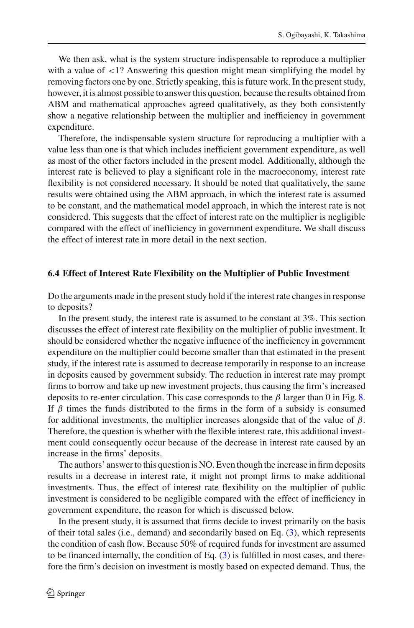We then ask, what is the system structure indispensable to reproduce a multiplier with a value of  $\langle 1$ ? Answering this question might mean simplifying the model by removing factors one by one. Strictly speaking, this is future work. In the present study, however, it is almost possible to answer this question, because the results obtained from ABM and mathematical approaches agreed qualitatively, as they both consistently show a negative relationship between the multiplier and inefficiency in government expenditure.

Therefore, the indispensable system structure for reproducing a multiplier with a value less than one is that which includes inefficient government expenditure, as well as most of the other factors included in the present model. Additionally, although the interest rate is believed to play a significant role in the macroeconomy, interest rate flexibility is not considered necessary. It should be noted that qualitatively, the same results were obtained using the ABM approach, in which the interest rate is assumed to be constant, and the mathematical model approach, in which the interest rate is not considered. This suggests that the effect of interest rate on the multiplier is negligible compared with the effect of inefficiency in government expenditure. We shall discuss the effect of interest rate in more detail in the next section.

#### **6.4 Effect of Interest Rate Flexibility on the Multiplier of Public Investment**

Do the arguments made in the present study hold if the interest rate changes in response to deposits?

In the present study, the interest rate is assumed to be constant at 3%. This section discusses the effect of interest rate flexibility on the multiplier of public investment. It should be considered whether the negative influence of the inefficiency in government expenditure on the multiplier could become smaller than that estimated in the present study, if the interest rate is assumed to decrease temporarily in response to an increase in deposits caused by government subsidy. The reduction in interest rate may prompt firms to borrow and take up new investment projects, thus causing the firm's increased deposits to re-enter circulation. This case corresponds to the  $\beta$  larger than 0 in Fig. [8.](#page-20-0) If  $\beta$  times the funds distributed to the firms in the form of a subsidy is consumed for additional investments, the multiplier increases alongside that of the value of  $\beta$ . Therefore, the question is whether with the flexible interest rate, this additional investment could consequently occur because of the decrease in interest rate caused by an increase in the firms' deposits.

The authors' answer to this question is NO. Even though the increase in firm deposits results in a decrease in interest rate, it might not prompt firms to make additional investments. Thus, the effect of interest rate flexibility on the multiplier of public investment is considered to be negligible compared with the effect of inefficiency in government expenditure, the reason for which is discussed below.

In the present study, it is assumed that firms decide to invest primarily on the basis of their total sales (i.e., demand) and secondarily based on Eq. [\(3\)](#page-6-0), which represents the condition of cash flow. Because 50% of required funds for investment are assumed to be financed internally, the condition of Eq. [\(3\)](#page-6-0) is fulfilled in most cases, and therefore the firm's decision on investment is mostly based on expected demand. Thus, the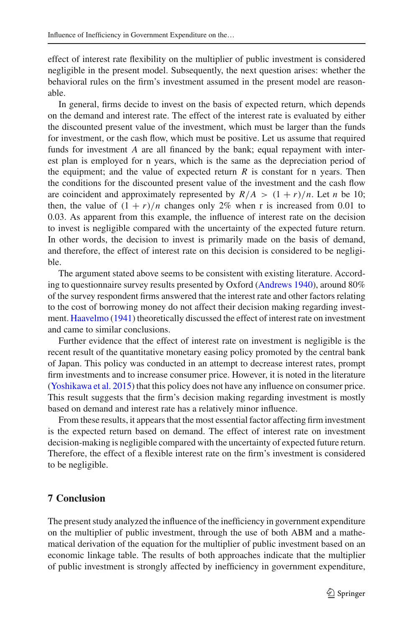effect of interest rate flexibility on the multiplier of public investment is considered negligible in the present model. Subsequently, the next question arises: whether the behavioral rules on the firm's investment assumed in the present model are reasonable.

In general, firms decide to invest on the basis of expected return, which depends on the demand and interest rate. The effect of the interest rate is evaluated by either the discounted present value of the investment, which must be larger than the funds for investment, or the cash flow, which must be positive. Let us assume that required funds for investment *A* are all financed by the bank; equal repayment with interest plan is employed for n years, which is the same as the depreciation period of the equipment; and the value of expected return  $R$  is constant for n years. Then the conditions for the discounted present value of the investment and the cash flow are coincident and approximately represented by  $R/A > (1 + r)/n$ . Let *n* be 10; then, the value of  $(1 + r)/n$  changes only 2% when r is increased from 0.01 to 0.03. As apparent from this example, the influence of interest rate on the decision to invest is negligible compared with the uncertainty of the expected future return. In other words, the decision to invest is primarily made on the basis of demand, and therefore, the effect of interest rate on this decision is considered to be negligible.

The argument stated above seems to be consistent with existing literature. According to questionnaire survey results presented by Oxford [\(Andrews 1940](#page-27-14)), around 80% of the survey respondent firms answered that the interest rate and other factors relating to the cost of borrowing money do not affect their decision making regarding investment. [Haavelmo](#page-27-15) [\(1941\)](#page-27-15) theoretically discussed the effect of interest rate on investment and came to similar conclusions.

Further evidence that the effect of interest rate on investment is negligible is the recent result of the quantitative monetary easing policy promoted by the central bank of Japan. This policy was conducted in an attempt to decrease interest rates, prompt firm investments and to increase consumer price. However, it is noted in the literature [\(Yoshikawa et al. 2015\)](#page-28-1) that this policy does not have any influence on consumer price. This result suggests that the firm's decision making regarding investment is mostly based on demand and interest rate has a relatively minor influence.

From these results, it appears that the most essential factor affecting firm investment is the expected return based on demand. The effect of interest rate on investment decision-making is negligible compared with the uncertainty of expected future return. Therefore, the effect of a flexible interest rate on the firm's investment is considered to be negligible.

# **7 Conclusion**

The present study analyzed the influence of the inefficiency in government expenditure on the multiplier of public investment, through the use of both ABM and a mathematical derivation of the equation for the multiplier of public investment based on an economic linkage table. The results of both approaches indicate that the multiplier of public investment is strongly affected by inefficiency in government expenditure,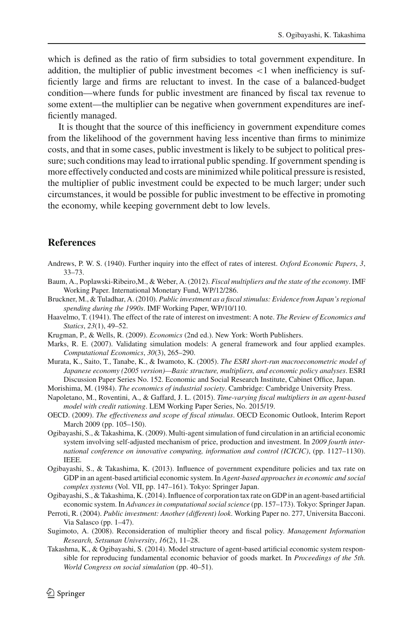which is defined as the ratio of firm subsidies to total government expenditure. In addition, the multiplier of public investment becomes  $\langle 1 \rangle$  when inefficiency is sufficiently large and firms are reluctant to invest. In the case of a balanced-budget condition—where funds for public investment are financed by fiscal tax revenue to some extent—the multiplier can be negative when government expenditures are inefficiently managed.

It is thought that the source of this inefficiency in government expenditure comes from the likelihood of the government having less incentive than firms to minimize costs, and that in some cases, public investment is likely to be subject to political pressure; such conditions may lead to irrational public spending. If government spending is more effectively conducted and costs are minimized while political pressure is resisted, the multiplier of public investment could be expected to be much larger; under such circumstances, it would be possible for public investment to be effective in promoting the economy, while keeping government debt to low levels.

# **References**

- <span id="page-27-14"></span>Andrews, P. W. S. (1940). Further inquiry into the effect of rates of interest. *Oxford Economic Papers*, *3*, 33–73.
- <span id="page-27-1"></span>Baum, A., Poplawski-Ribeiro,M., & Weber, A. (2012). *Fiscal multipliers and the state of the economy*. IMF Working Paper. International Monetary Fund, WP/12/286.
- <span id="page-27-2"></span>Bruckner, M., & Tuladhar, A. (2010). *Public investment as a fiscal stimulus: Evidence from Japan's regional spending during the 1990s*. IMF Working Paper, WP/10/110.
- <span id="page-27-15"></span>Haavelmo, T. (1941). The effect of the rate of interest on investment: A note. *The Review of Economics and Statics*, *23*(1), 49–52.
- <span id="page-27-0"></span>Krugman, P., & Wells, R. (2009). *Economics* (2nd ed.). New York: Worth Publishers.
- <span id="page-27-8"></span>Marks, R. E. (2007). Validating simulation models: A general framework and four applied examples. *Computational Economics*, *30*(3), 265–290.
- <span id="page-27-3"></span>Murata, K., Saito, T., Tanabe, K., & Iwamoto, K. (2005). *The ESRI short-run macroeconometric model of Japanese economy (2005 version)—Basic structure, multipliers, and economic policy analyses*. ESRI Discussion Paper Series No. 152. Economic and Social Research Institute, Cabinet Office, Japan.
- <span id="page-27-7"></span>Morishima, M. (1984). *The economics of industrial society*. Cambridge: Cambridge University Press.
- <span id="page-27-12"></span>Napoletano, M., Roventini, A., & Gaffard, J. L. (2015). *Time-varying fiscal multipliers in an agent-based model with credit rationing*. LEM Working Paper Series, No. 2015/19.
- <span id="page-27-4"></span>OECD. (2009). *The effectiveness and scope of fiscal stimulus*. OECD Economic Outlook, Interim Report March 2009 (pp. 105–150).
- <span id="page-27-13"></span>Ogibayashi, S., & Takashima, K. (2009). Multi-agent simulation of fund circulation in an artificial economic system involving self-adjusted mechanism of price, production and investment. In *2009 fourth international conference on innovative computing, information and control (ICICIC)*, (pp. 1127–1130). IEEE.
- <span id="page-27-10"></span>Ogibayashi, S., & Takashima, K. (2013). Influence of government expenditure policies and tax rate on GDP in an agent-based artificial economic system. In *Agent-based approaches in economic and social complex systems* (Vol. VII, pp. 147–161). Tokyo: Springer Japan.
- <span id="page-27-11"></span>Ogibayashi, S., & Takashima, K. (2014). Influence of corporation tax rate on GDP in an agent-based artificial economic system. In *Advances in computational social science* (pp. 157–173). Tokyo: Springer Japan.
- <span id="page-27-5"></span>Perroti, R. (2004). *Public investment: Another (different) look*. Working Paper no. 277, Universita Bacconi. Via Salasco (pp. 1–47).
- <span id="page-27-6"></span>Sugimoto, A. (2008). Reconsideration of multiplier theory and fiscal policy. *Management Information Research, Setsunan University*, *16*(2), 11–28.
- <span id="page-27-9"></span>Takashma, K., & Ogibayashi, S. (2014). Model structure of agent-based artificial economic system responsible for reproducing fundamental economic behavior of goods market. In *Proceedings of the 5th. World Congress on social simulation* (pp. 40–51).